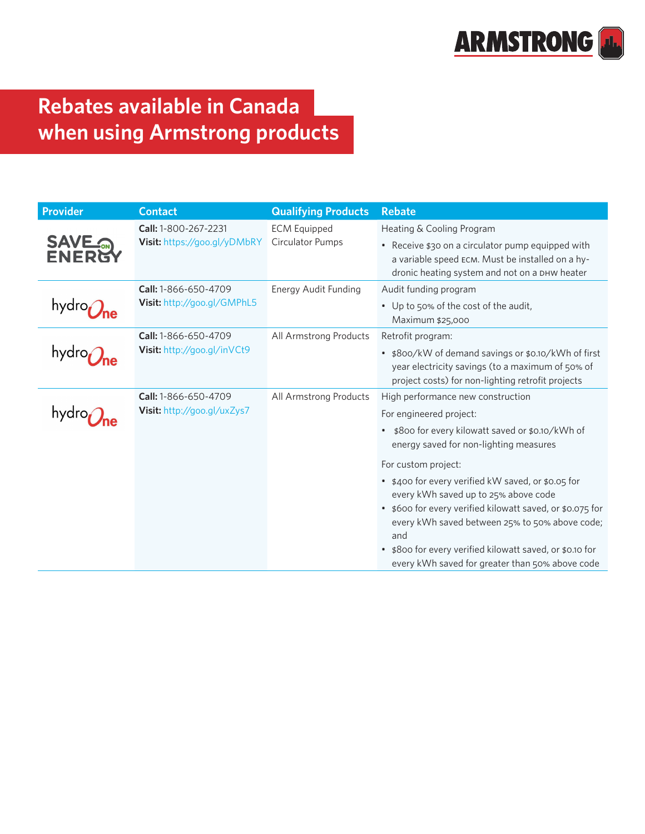

## **Rebates available in Canada when using Armstrong products**

| <b>Provider</b> | <b>Contact</b>                                       | <b>Qualifying Products</b>              | <b>Rebate</b>                                                                                                                                                                                                                                                                                                                      |
|-----------------|------------------------------------------------------|-----------------------------------------|------------------------------------------------------------------------------------------------------------------------------------------------------------------------------------------------------------------------------------------------------------------------------------------------------------------------------------|
| <b>SAVE ON</b>  | Call: 1-800-267-2231<br>Visit: https://goo.gl/yDMbRY | <b>ECM Equipped</b><br>Circulator Pumps | Heating & Cooling Program<br>• Receive \$30 on a circulator pump equipped with<br>a variable speed ECM. Must be installed on a hy-                                                                                                                                                                                                 |
|                 | Call: 1-866-650-4709<br>Visit: http://goo.gl/GMPhL5  | Energy Audit Funding                    | dronic heating system and not on a DHW heater<br>Audit funding program                                                                                                                                                                                                                                                             |
|                 |                                                      |                                         | • Up to 50% of the cost of the audit,<br>Maximum \$25,000                                                                                                                                                                                                                                                                          |
|                 | Call: 1-866-650-4709<br>Visit: http://goo.gl/inVCt9  | All Armstrong Products                  | Retrofit program:                                                                                                                                                                                                                                                                                                                  |
|                 |                                                      |                                         | • \$800/kW of demand savings or \$0.10/kWh of first<br>year electricity savings (to a maximum of 50% of<br>project costs) for non-lighting retrofit projects                                                                                                                                                                       |
|                 | Call: 1-866-650-4709<br>Visit: http://goo.gl/uxZys7  | All Armstrong Products                  | High performance new construction                                                                                                                                                                                                                                                                                                  |
|                 |                                                      |                                         | For engineered project:                                                                                                                                                                                                                                                                                                            |
|                 |                                                      |                                         | • \$800 for every kilowatt saved or \$0.10/kWh of<br>energy saved for non-lighting measures                                                                                                                                                                                                                                        |
|                 |                                                      |                                         | For custom project:                                                                                                                                                                                                                                                                                                                |
|                 |                                                      |                                         | • \$400 for every verified kW saved, or \$0.05 for<br>every kWh saved up to 25% above code<br>• \$600 for every verified kilowatt saved, or \$0.075 for<br>every kWh saved between 25% to 50% above code;<br>and<br>\$800 for every verified kilowatt saved, or \$0.10 for<br>٠<br>every kWh saved for greater than 50% above code |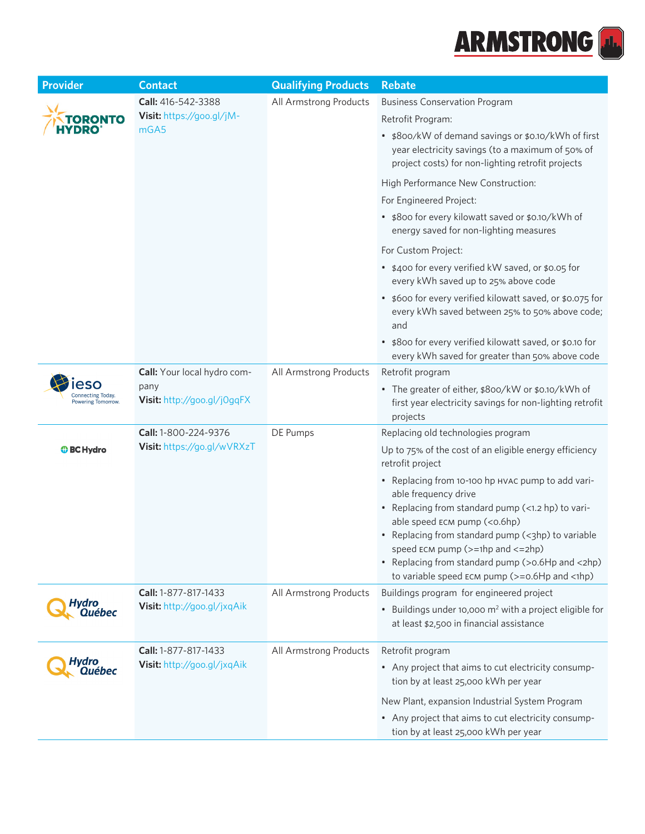

| <b>Provider</b>   | <b>Contact</b>                                                     | <b>Qualifying Products</b> | <b>Rebate</b>                                                                                                                                                                                                                                                                                                                                                                                                                                                                             |
|-------------------|--------------------------------------------------------------------|----------------------------|-------------------------------------------------------------------------------------------------------------------------------------------------------------------------------------------------------------------------------------------------------------------------------------------------------------------------------------------------------------------------------------------------------------------------------------------------------------------------------------------|
| TORONTO           | Call: 416-542-3388<br>Visit: https://goo.gl/jM-<br>mGA5            | All Armstrong Products     | <b>Business Conservation Program</b><br>Retrofit Program:<br>• \$800/kW of demand savings or \$0.10/kWh of first<br>year electricity savings (to a maximum of 50% of<br>project costs) for non-lighting retrofit projects                                                                                                                                                                                                                                                                 |
|                   |                                                                    |                            | High Performance New Construction:<br>For Engineered Project:<br>• \$800 for every kilowatt saved or \$0.10/kWh of<br>energy saved for non-lighting measures<br>For Custom Project:                                                                                                                                                                                                                                                                                                       |
|                   |                                                                    |                            | • \$400 for every verified kW saved, or \$0.05 for<br>every kWh saved up to 25% above code<br>• \$600 for every verified kilowatt saved, or \$0.075 for<br>every kWh saved between 25% to 50% above code;<br>and<br>• \$800 for every verified kilowatt saved, or \$0.10 for<br>every kWh saved for greater than 50% above code                                                                                                                                                           |
| Powering Tomorrow | Call: Your local hydro com-<br>pany<br>Visit: http://goo.gl/j0gqFX | All Armstrong Products     | Retrofit program<br>• The greater of either, \$800/kW or \$0.10/kWh of<br>first year electricity savings for non-lighting retrofit<br>projects                                                                                                                                                                                                                                                                                                                                            |
| <b>O</b> BC Hydro | Call: 1-800-224-9376<br>Visit: https://go.gl/wVRXzT                | DE Pumps                   | Replacing old technologies program<br>Up to 75% of the cost of an eligible energy efficiency<br>retrofit project<br>• Replacing from 10-100 hp HVAC pump to add vari-<br>able frequency drive<br>• Replacing from standard pump (<1.2 hp) to vari-<br>able speed ECM pump (<0.6hp)<br>• Replacing from standard pump (<3hp) to variable<br>speed $ECM$ pump ( $>=1$ hp and $<=2$ hp)<br>• Replacing from standard pump (>0.6Hp and <2hp)<br>to variable speed ECM pump (>=0.6Hp and <1hp) |
| Hydro<br>Québec   | Call: 1-877-817-1433<br>Visit: http://goo.gl/jxqAik                | All Armstrong Products     | Buildings program for engineered project<br>• Buildings under 10,000 m <sup>2</sup> with a project eligible for<br>at least \$2,500 in financial assistance                                                                                                                                                                                                                                                                                                                               |
| ydro<br>Québec    | Call: 1-877-817-1433<br>Visit: http://goo.gl/jxqAik                | All Armstrong Products     | Retrofit program<br>• Any project that aims to cut electricity consump-<br>tion by at least 25,000 kWh per year<br>New Plant, expansion Industrial System Program<br>• Any project that aims to cut electricity consump-<br>tion by at least 25,000 kWh per year                                                                                                                                                                                                                          |